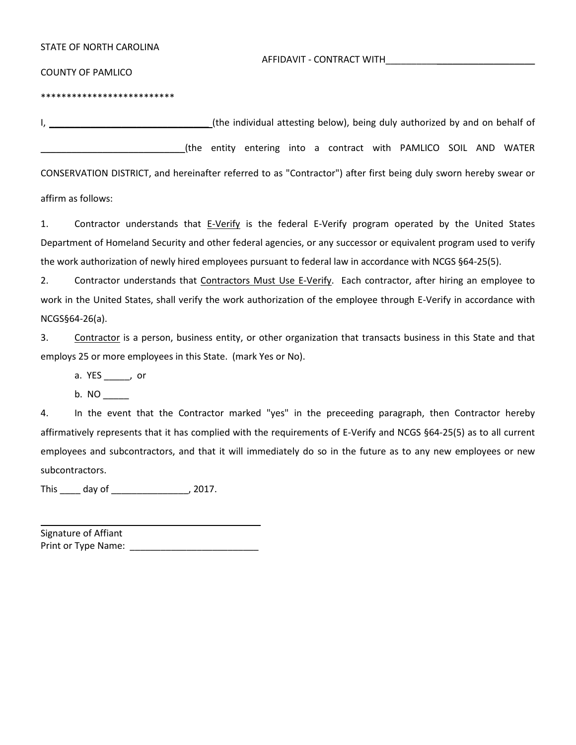|  |  |  | STATE OF NORTH CAROLINA |
|--|--|--|-------------------------|
|--|--|--|-------------------------|

AFFIDAVIT - CONTRACT WITH\_\_\_\_\_\_\_\_\_\_\_\_\_\_\_\_\_\_\_\_\_\_\_\_\_\_\_\_\_

COUNTY OF PAMLICO

\*\*\*\*\*\*\*\*\*\*\*\*\*\*\*\*\*\*\*\*\*\*\*\*\*\*

I, \_\_\_\_\_\_\_\_\_\_\_\_\_\_\_\_\_\_\_\_\_\_\_\_\_\_\_\_\_\_\_ (the individual attesting below), being duly authorized by and on behalf of \_\_\_\_\_\_\_\_\_\_\_\_\_\_\_\_\_\_\_\_\_\_\_\_\_\_\_\_(the entity entering into a contract with PAMLICO SOIL AND WATER

CONSERVATION DISTRICT, and hereinafter referred to as "Contractor") after first being duly sworn hereby swear or affirm as follows:

1. Contractor understands that E-Verify is the federal E-Verify program operated by the United States Department of Homeland Security and other federal agencies, or any successor or equivalent program used to verify the work authorization of newly hired employees pursuant to federal law in accordance with NCGS §64-25(5).

2. Contractor understands that Contractors Must Use E-Verify. Each contractor, after hiring an employee to work in the United States, shall verify the work authorization of the employee through E-Verify in accordance with NCGS§64-26(a).

3. Contractor is a person, business entity, or other organization that transacts business in this State and that employs 25 or more employees in this State. (mark Yes or No).

a. YES \_\_\_\_\_, or

b. NO  $\_$ 

4. In the event that the Contractor marked "yes" in the preceeding paragraph, then Contractor hereby affirmatively represents that it has complied with the requirements of E-Verify and NCGS §64-25(5) as to all current employees and subcontractors, and that it will immediately do so in the future as to any new employees or new subcontractors.

This \_\_\_\_ day of \_\_\_\_\_\_\_\_\_\_\_\_\_\_\_, 2017.

Signature of Affiant Print or Type Name: \_\_\_\_\_\_\_\_\_\_\_\_\_\_\_\_\_\_\_\_\_\_\_\_\_